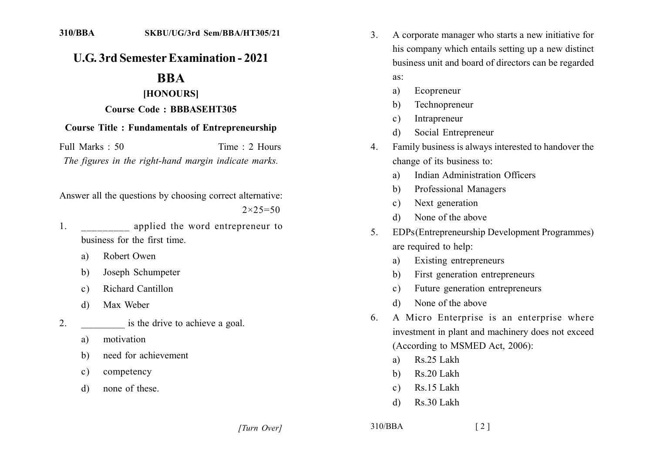## **U.G. 3rd Semester Examination - 2021**

# **BBA**

#### [HONOURS]

#### **Course Code: BBBASEHT305**

### **Course Title: Fundamentals of Entrepreneurship**

Full Marks: 50 Time: 2 Hours The figures in the right-hand margin indicate marks.

Answer all the questions by choosing correct alternative:  $2 \times 25 = 50$ 

- $1.$ applied the word entrepreneur to business for the first time
	- Robert Owen a)
	- Joseph Schumpeter  $h$
	- Richard Cantillon  $c)$
	- Max Weber d)
- $2^{\circ}$ is the drive to achieve a goal.
	- motivation a)
	- need for achievement  $h)$
	- competency  $\mathbf{c}$ )
	- none of these  $\mathbf{d}$
- A corporate manager who starts a new initiative for  $\mathcal{E}$ his company which entails setting up a new distinct business unit and board of directors can be regarded
	- as:
	- Ecopreneur a)
	- Technopreneur b)
	- Intrapreneur  $\mathbf{c}$ )
	- Social Entrepreneur  $\mathbf{d}$
- Family business is always interested to handover the  $\overline{4}$ change of its business to:
	- Indian Administration Officers  $a)$
	- Professional Managers  $h$
	- Next generation  $c)$
	- None of the above  $\mathcal{A}$
- EDPs (Entrepreneurship Development Programmes)  $\mathcal{F}$ are required to help:
	- Existing entrepreneurs a)
	- First generation entrepreneurs b)
	- Future generation entrepreneurs  $c)$
	- None of the above d)
- A Micro Enterprise is an enterprise where 6. investment in plant and machinery does not exceed (According to MSMED Act, 2006):
	- Rs.25 Lakh a)
	- Rs.20 Lakh b)
	- Rs.15 Lakh  $c)$
	- Rs 30 Lakh  $\mathbf{d}$

[Turn Over]

 $310/BBA$ 

 $\lceil 2 \rceil$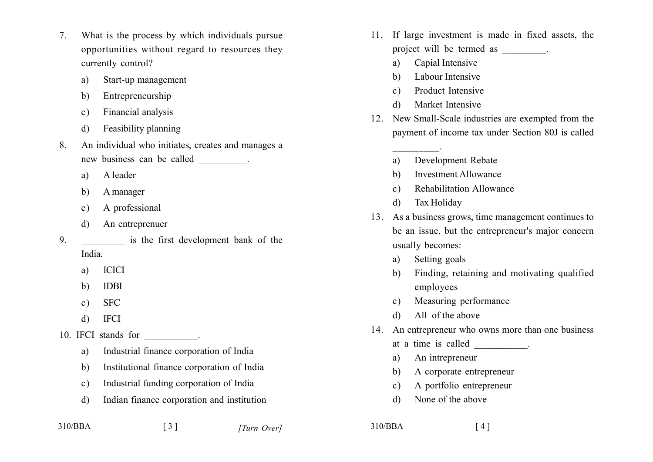- What is the process by which individuals pursue  $7<sup>7</sup>$ opportunities without regard to resources they currently control?
	- Start-up management a)
	- Entrepreneurship b)
	- Financial analysis  $c)$
	- Feasibility planning  $\mathbf{d}$
- An individual who initiates, creates and manages a 8.
	- A leader a)
	- A manager  $h$
	- A professional  $c)$
	- An entreprenuer d)
- 9. is the first development bank of the India.
	- **ICICI** a)
	- **IDBI** b)
	- **SFC**  $c)$
	- **IFCI** d)

10. IFCI stands for the control of the control of the control of the control of the control of the control of the control of the control of the control of the control of the control of the control of the control of the con

- Industrial finance corporation of India a)
- Institutional finance corporation of India  $h$
- Industrial funding corporation of India  $c)$
- Indian finance corporation and institution  $\mathbf{d}$

 $\lceil 3 \rceil$ 

- 11. If large investment is made in fixed assets, the project will be termed as .
	- Capial Intensive a)
	- Labour Intensive  $h)$
	- Product Intensive  $c)$
	- Market Intensive  $d)$
- 12. New Small-Scale industries are exempted from the payment of income tax under Section 80J is called
	- Development Rebate a)
	- **Investment Allowance** h)
	- **Rehabilitation Allowance**  $c)$
	- d) Tax Holiday
- 13. As a business grows, time management continues to be an issue, but the entrepreneur's major concern usually becomes:
	- Setting goals  $a)$
	- Finding, retaining and motivating qualified  $h$ ) employees
	- Measuring performance  $c)$
	- All of the above  $\mathbf{d}$
- 14. An entrepreneur who owns more than one business
	- at a time is called \_\_\_\_\_\_\_\_\_.
	- An intrepreneur a)
	- A corporate entrepreneur b)
	- A portfolio entrepreneur  $\mathbf{c}$ )
	- None of the above  $\mathbf{d}$

 $310/BBA$ 

| 310/BBA |
|---------|
|---------|

 $\lceil 4 \rceil$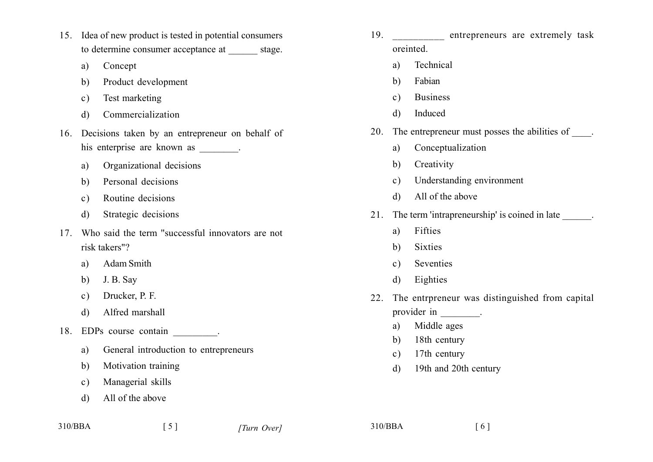- 15. Idea of new product is tested in potential consumers to determine consumer acceptance at stage.
	- Concept a)
	- Product development b)
	- Test marketing  $c)$
	- Commercialization  $\mathbf{d}$
- 16. Decisions taken by an entrepreneur on behalf of his enterprise are known as \_\_\_\_\_\_\_\_.
	- Organizational decisions a)
	- Personal decisions  $b)$
	- Routine decisions  $c)$
	- Strategic decisions  $\mathbf{d}$
- 17 Who said the term "successful innovators are not risk takers"?
	- **Adam Smith** a)
	- J. B. Sav  $b)$
	- Drucker, P. F.  $c)$
	- Alfred marshall d)
- 18. EDPs course contain
	- a) General introduction to entrepreneurs

 $\lceil 5 \rceil$ 

- Motivation training b)
- Managerial skills  $c)$
- All of the above d)
- 19. entrepreneurs are extremely task oreinted.
	- Technical a)
	- Fabian b)
	- **Business**  $\mathbf{c}$ )
	- Induced  $\mathbf{d}$
- 20. The entrepreneur must posses the abilities of .
	- Conceptualization a)
	- Creativity  $\mathbf{b}$
	- Understanding environment  $c)$
	- All of the above  $\mathcal{L}$
- 21. The term 'intrapreneurship' is coined in late
	- Fifties  $a)$
	- **Sixties** b)
	- Seventies  $c)$
	- Eighties d)
- 22. The entrpreneur was distinguished from capital provider in figures.
	- Middle ages  $a)$
	- 18th century  $h$ )
	- 17th century  $c)$
	- 19th and 20th century  $\mathbf{d}$

310/BBA